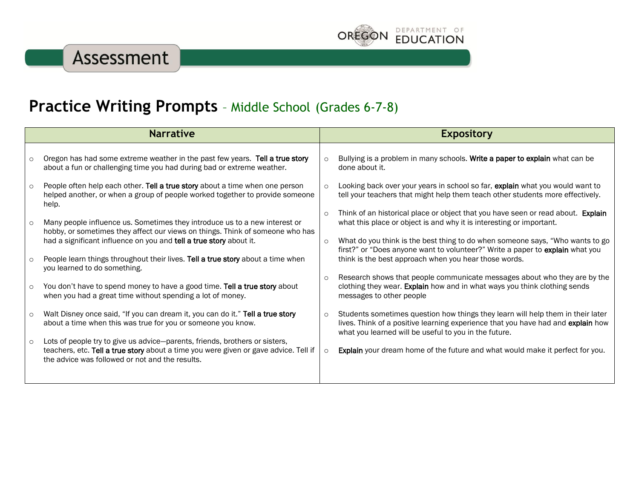

## **Practice Writing Prompts** – Middle School (Grades 6-7-8)

| <b>Narrative</b> |                                                                                                                                                                                                                        | <b>Expository</b> |                                                                                                                                                                                                                              |
|------------------|------------------------------------------------------------------------------------------------------------------------------------------------------------------------------------------------------------------------|-------------------|------------------------------------------------------------------------------------------------------------------------------------------------------------------------------------------------------------------------------|
| $\circ$          | Oregon has had some extreme weather in the past few years. Tell a true story<br>about a fun or challenging time you had during bad or extreme weather.                                                                 | $\circ$           | Bullying is a problem in many schools. Write a paper to explain what can be<br>done about it.                                                                                                                                |
| $\circ$          | People often help each other. Tell a true story about a time when one person<br>helped another, or when a group of people worked together to provide someone<br>help.                                                  | $\circ$           | Looking back over your years in school so far, explain what you would want to<br>tell your teachers that might help them teach other students more effectively.                                                              |
| $\circ$          | Many people influence us. Sometimes they introduce us to a new interest or<br>hobby, or sometimes they affect our views on things. Think of someone who has                                                            | $\circ$           | Think of an historical place or object that you have seen or read about. Explain<br>what this place or object is and why it is interesting or important.                                                                     |
| $\circ$          | had a significant influence on you and tell a true story about it.<br>People learn things throughout their lives. Tell a true story about a time when                                                                  | $\circ$           | What do you think is the best thing to do when someone says, "Who wants to go<br>first?" or "Does anyone want to volunteer?" Write a paper to explain what you<br>think is the best approach when you hear those words.      |
|                  | you learned to do something.                                                                                                                                                                                           |                   | Research shows that people communicate messages about who they are by the                                                                                                                                                    |
| $\circ$          | You don't have to spend money to have a good time. Tell a true story about<br>when you had a great time without spending a lot of money.                                                                               | $\circ$           | clothing they wear. Explain how and in what ways you think clothing sends<br>messages to other people                                                                                                                        |
| $\circ$          | Walt Disney once said, "If you can dream it, you can do it." Tell a true story<br>about a time when this was true for you or someone you know.                                                                         | $\circ$           | Students sometimes question how things they learn will help them in their later<br>lives. Think of a positive learning experience that you have had and explain how<br>what you learned will be useful to you in the future. |
| $\circ$          | Lots of people try to give us advice-parents, friends, brothers or sisters,<br>teachers, etc. Tell a true story about a time you were given or gave advice. Tell if<br>the advice was followed or not and the results. | $\circ$           | Explain your dream home of the future and what would make it perfect for you.                                                                                                                                                |
|                  |                                                                                                                                                                                                                        |                   |                                                                                                                                                                                                                              |